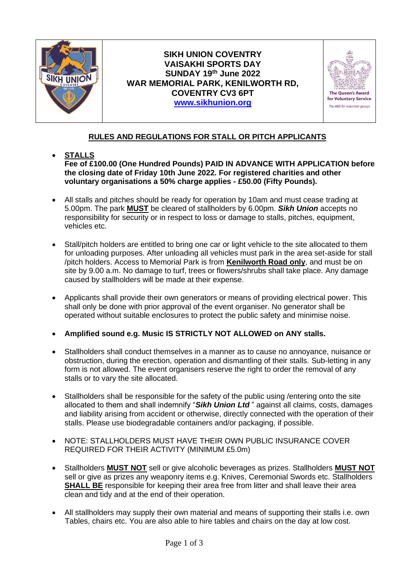

# **SIKH UNION COVENTRY VAISAKHI SPORTS DAY SUNDAY 19th June 2022 WAR MEMORIAL PARK, KENILWORTH RD, COVENTRY CV3 6PT [www.sikhunion.org](http://www.sikhunion.org/)**



# **RULES AND REGULATIONS FOR STALL OR PITCH APPLICANTS**

#### • **STALLS Fee of £100.00 (One Hundred Pounds) PAID IN ADVANCE WITH APPLICATION before the closing date of Friday 10th June 2022. For registered charities and other voluntary organisations a 50% charge applies - £50.00 (Fifty Pounds).**

- All stalls and pitches should be ready for operation by 10am and must cease trading at 5.00pm. The park **MUST** be cleared of stallholders by 6.00pm. *Sikh Union* accepts no responsibility for security or in respect to loss or damage to stalls, pitches, equipment, vehicles etc.
- Stall/pitch holders are entitled to bring one car or light vehicle to the site allocated to them for unloading purposes. After unloading all vehicles must park in the area set-aside for stall /pitch holders. Access to Memorial Park is from **Kenilworth Road only**, and must be on site by 9.00 a.m. No damage to turf, trees or flowers/shrubs shall take place. Any damage caused by stallholders will be made at their expense.
- Applicants shall provide their own generators or means of providing electrical power. This shall only be done with prior approval of the event organiser. No generator shall be operated without suitable enclosures to protect the public safety and minimise noise.
- **Amplified sound e.g. Music IS STRICTLY NOT ALLOWED on ANY stalls.**
- Stallholders shall conduct themselves in a manner as to cause no annoyance, nuisance or obstruction, during the erection, operation and dismantling of their stalls. Sub-letting in any form is not allowed. The event organisers reserve the right to order the removal of any stalls or to vary the site allocated.
- Stallholders shall be responsible for the safety of the public using /entering onto the site allocated to them and shall indemnify "*Sikh Union Ltd* " against all claims, costs, damages and liability arising from accident or otherwise, directly connected with the operation of their stalls. Please use biodegradable containers and/or packaging, if possible.
- NOTE: STALLHOLDERS MUST HAVE THEIR OWN PUBLIC INSURANCE COVER REQUIRED FOR THEIR ACTIVITY (MINIMUM £5.0m)
- Stallholders **MUST NOT** sell or give alcoholic beverages as prizes. Stallholders **MUST NOT** sell or give as prizes any weaponry items e.g. Knives, Ceremonial Swords etc. Stallholders **SHALL BE** responsible for keeping their area free from litter and shall leave their area clean and tidy and at the end of their operation.
- All stallholders may supply their own material and means of supporting their stalls i.e. own Tables, chairs etc. You are also able to hire tables and chairs on the day at low cost.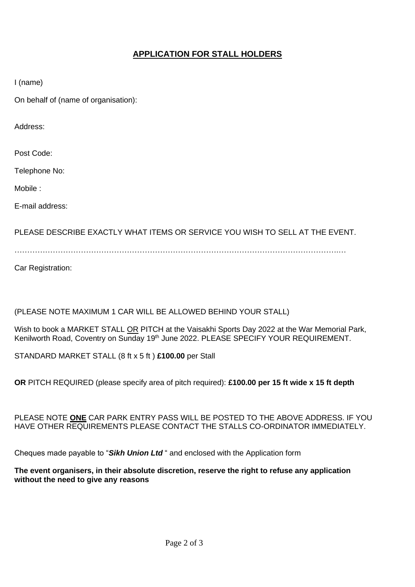# **APPLICATION FOR STALL HOLDERS**

I (name)

On behalf of (name of organisation):

Address:

Post Code:

Telephone No:

Mobile :

E-mail address:

PLEASE DESCRIBE EXACTLY WHAT ITEMS OR SERVICE YOU WISH TO SELL AT THE EVENT.

……………………………………………………………………………………………………………….…

Car Registration:

## (PLEASE NOTE MAXIMUM 1 CAR WILL BE ALLOWED BEHIND YOUR STALL)

Wish to book a MARKET STALL OR PITCH at the Vaisakhi Sports Day 2022 at the War Memorial Park, Kenilworth Road, Coventry on Sunday 19<sup>th</sup> June 2022. PLEASE SPECIFY YOUR REQUIREMENT.

STANDARD MARKET STALL (8 ft x 5 ft ) **£100.00** per Stall

**OR** PITCH REQUIRED (please specify area of pitch required): **£100.00 per 15 ft wide x 15 ft depth**

#### PLEASE NOTE **ONE** CAR PARK ENTRY PASS WILL BE POSTED TO THE ABOVE ADDRESS. IF YOU HAVE OTHER REQUIREMENTS PLEASE CONTACT THE STALLS CO-ORDINATOR IMMEDIATELY.

Cheques made payable to "*Sikh Union Ltd* " and enclosed with the Application form

### **The event organisers, in their absolute discretion, reserve the right to refuse any application without the need to give any reasons**